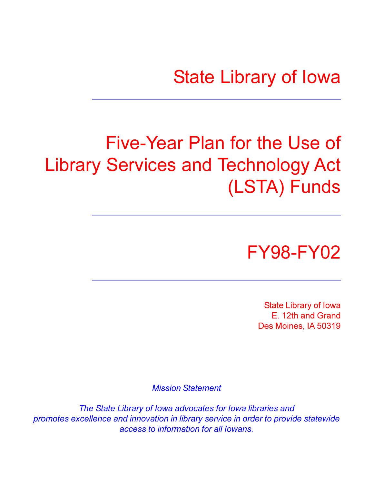# **State Library of Iowa**

# Five-Year Plan for the Use of **Library Services and Technology Act** (LSTA) Funds



**State Library of Iowa** E. 12th and Grand Des Moines. IA 50319

**Mission Statement** 

The State Library of Iowa advocates for Iowa libraries and promotes excellence and innovation in library service in order to provide statewide access to information for all lowans.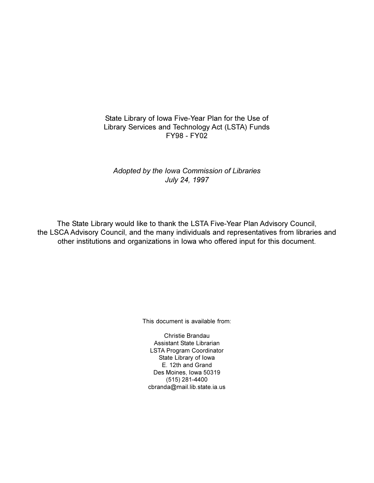State Library of Iowa Five-Year Plan for the Use of Library Services and Technology Act (LSTA) Funds **FY98 - FY02** 

Adopted by the Iowa Commission of Libraries July 24, 1997

The State Library would like to thank the LSTA Five-Year Plan Advisory Council, the LSCA Advisory Council, and the many individuals and representatives from libraries and other institutions and organizations in lowa who offered input for this document.

This document is available from:

Christie Brandau Assistant State Librarian **LSTA Program Coordinator** State Library of Iowa E. 12th and Grand Des Moines, Iowa 50319  $(515)$  281-4400 cbranda@mail.lib.state.ia.us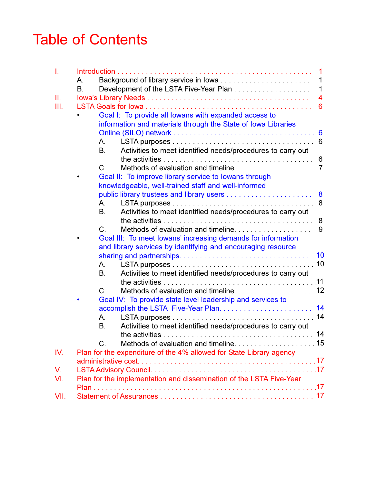### **Table of Contents**

| L    | 1                                                                        |
|------|--------------------------------------------------------------------------|
|      | Background of library service in lowa<br>1<br>А.                         |
|      | <b>B.</b><br>1                                                           |
| Ш.   | $\overline{4}$                                                           |
| Ш.   | 6                                                                        |
|      | Goal I: To provide all lowans with expanded access to                    |
|      | information and materials through the State of Iowa Libraries            |
|      |                                                                          |
|      | 6<br>А.                                                                  |
|      | Activities to meet identified needs/procedures to carry out<br><b>B.</b> |
|      | 6                                                                        |
|      | Methods of evaluation and timeline<br>$\overline{7}$<br>C.               |
|      | Goal II: To improve library service to lowans through                    |
|      | knowledgeable, well-trained staff and well-informed                      |
|      | 8                                                                        |
|      | 8<br>А.                                                                  |
|      | Activities to meet identified needs/procedures to carry out<br><b>B.</b> |
|      | 8                                                                        |
|      | Methods of evaluation and timeline.<br>9<br>$C_{\cdot}$                  |
|      | Goal III: To meet lowans' increasing demands for information             |
|      | and library services by identifying and encouraging resource             |
|      | 10                                                                       |
|      | Α.                                                                       |
|      | Activities to meet identified needs/procedures to carry out<br><b>B.</b> |
|      |                                                                          |
|      | $\mathcal{C}$                                                            |
|      | Goal IV: To provide state level leadership and services to               |
|      |                                                                          |
|      | А.                                                                       |
|      | <b>B.</b><br>Activities to meet identified needs/procedures to carry out |
|      | 14                                                                       |
|      | $C_{\cdot}$                                                              |
| IV.  | Plan for the expenditure of the 4% allowed for State Library agency      |
|      |                                                                          |
| V.   |                                                                          |
| VI.  | Plan for the implementation and dissemination of the LSTA Five-Year      |
|      |                                                                          |
| VII. |                                                                          |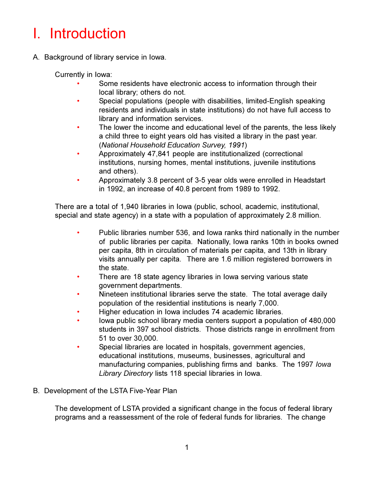### I. Introduction

A. Background of library service in lowa.

Currently in Iowa:

- Some residents have electronic access to information through their local library; others do not.
- Special populations (people with disabilities, limited-English speaking  $\bullet$ residents and individuals in state institutions) do not have full access to library and information services.
- The lower the income and educational level of the parents, the less likely  $\bullet$ a child three to eight years old has visited a library in the past year. (National Household Education Survey, 1991)
- $\bullet$ Approximately 47,841 people are institutionalized (correctional institutions, nursing homes, mental institutions, juvenile institutions and others).
- $\bullet$ Approximately 3.8 percent of 3-5 year olds were enrolled in Headstart in 1992, an increase of 40.8 percent from 1989 to 1992.

There are a total of 1,940 libraries in Iowa (public, school, academic, institutional, special and state agency) in a state with a population of approximately 2.8 million.

- $\bullet$ Public libraries number 536, and lowa ranks third nationally in the number of public libraries per capita. Nationally, Iowa ranks 10th in books owned per capita, 8th in circulation of materials per capita, and 13th in library visits annually per capita. There are 1.6 million registered borrowers in the state.
- There are 18 state agency libraries in lowa serving various state  $\bullet$ government departments.
- Nineteen institutional libraries serve the state. The total average daily  $\bullet$ population of the residential institutions is nearly 7,000.
- Higher education in Iowa includes 74 academic libraries.
- lowa public school library media centers support a population of 480,000  $\bullet$ students in 397 school districts. Those districts range in enrollment from 51 to over 30,000.
- Special libraries are located in hospitals, government agencies,  $\bullet$ educational institutions, museums, businesses, agricultural and manufacturing companies, publishing firms and banks. The 1997 lowa Library Directory lists 118 special libraries in Iowa.
- B. Development of the LSTA Five-Year Plan

The development of LSTA provided a significant change in the focus of federal library programs and a reassessment of the role of federal funds for libraries. The change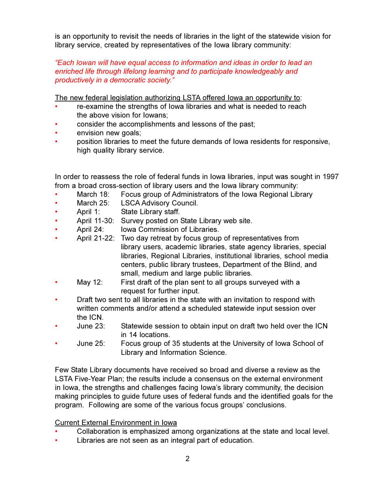is an opportunity to revisit the needs of libraries in the light of the statewide vision for library service, created by representatives of the lowa library community:

"Each lowan will have equal access to information and ideas in order to lead an enriched life through lifelong learning and to participate knowledgeably and productively in a democratic society."

The new federal legislation authorizing LSTA offered lowa an opportunity to:

- re-examine the strengths of lowa libraries and what is needed to reach the above vision for lowans:
- consider the accomplishments and lessons of the past;
- envision new goals;
- position libraries to meet the future demands of lowa residents for responsive, high quality library service.

In order to reassess the role of federal funds in lowa libraries, input was sought in 1997 from a broad cross-section of library users and the lowa library community:

- March 18: Focus group of Administrators of the Iowa Regional Library
- March 25: **LSCA Advisory Council.**
- $\bullet$ April 1: State Library staff.
- April 11-30: Survey posted on State Library web site.  $\bullet$
- $\bullet$ April 24: **Iowa Commission of Libraries.**
- April 21-22: Two day retreat by focus group of representatives from library users, academic libraries, state agency libraries, special libraries, Regional Libraries, institutional libraries, school media centers, public library trustees, Department of the Blind, and small, medium and large public libraries.
- May 12: First draft of the plan sent to all groups surveyed with a  $\bullet$ request for further input.
- Draft two sent to all libraries in the state with an invitation to respond with written comments and/or attend a scheduled statewide input session over the ICN.
- June  $23$ : Statewide session to obtain input on draft two held over the ICN in 14 locations.
- June  $25$ : Focus group of 35 students at the University of Iowa School of Library and Information Science.

Few State Library documents have received so broad and diverse a review as the LSTA Five-Year Plan; the results include a consensus on the external environment in lowa, the strengths and challenges facing lowa's library community, the decision making principles to guide future uses of federal funds and the identified goals for the program. Following are some of the various focus groups' conclusions.

#### **Current External Environment in Iowa**

- Collaboration is emphasized among organizations at the state and local level.
- Libraries are not seen as an integral part of education.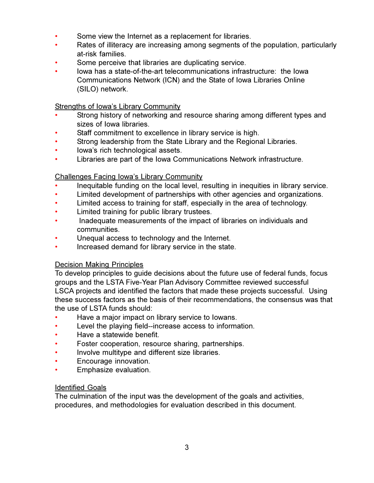- $\bullet$ Some view the Internet as a replacement for libraries.
- Rates of illiteracy are increasing among segments of the population, particularly at-risk families.
- Some perceive that libraries are duplicating service.  $\bullet$
- lowa has a state-of-the-art telecommunications infrastructure: the lowa Communications Network (ICN) and the State of Iowa Libraries Online (SILO) network.

#### **Strengths of Iowa's Library Community**

- Strong history of networking and resource sharing among different types and sizes of lowa libraries.
- Staff commitment to excellence in library service is high.
- Strong leadership from the State Library and the Regional Libraries.  $\bullet$
- $\bullet$ lowa's rich technological assets.
- Libraries are part of the Iowa Communications Network infrastructure.  $\bullet$

#### **Challenges Facing Iowa's Library Community**

- Inequitable funding on the local level, resulting in inequities in library service.
- $\bullet$ Limited development of partnerships with other agencies and organizations.
- Limited access to training for staff, especially in the area of technology.  $\bullet$
- $\bullet$ Limited training for public library trustees.
- $\bullet$ Inadequate measurements of the impact of libraries on individuals and communities.
- Unequal access to technology and the Internet.
- $\bullet$ Increased demand for library service in the state.

#### **Decision Making Principles**

To develop principles to guide decisions about the future use of federal funds, focus groups and the LSTA Five-Year Plan Advisory Committee reviewed successful LSCA projects and identified the factors that made these projects successful. Using these success factors as the basis of their recommendations, the consensus was that the use of LSTA funds should:

- Have a major impact on library service to lowans.
- Level the playing field--increase access to information.  $\bullet$
- Have a statewide benefit.  $\bullet$
- Foster cooperation, resource sharing, partnerships.
- Involve multitype and different size libraries.  $\bullet$
- Encourage innovation.
- Emphasize evaluation.  $\bullet$

#### **Identified Goals**

The culmination of the input was the development of the goals and activities, procedures, and methodologies for evaluation described in this document.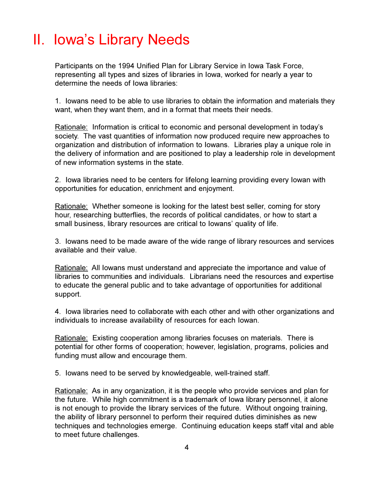### II. Iowa's Library Needs

Participants on the 1994 Unified Plan for Library Service in Iowa Task Force. representing all types and sizes of libraries in lowa, worked for nearly a year to determine the needs of lowa libraries:

1. Iowans need to be able to use libraries to obtain the information and materials they want, when they want them, and in a format that meets their needs.

Rationale: Information is critical to economic and personal development in today's society. The vast quantities of information now produced require new approaches to organization and distribution of information to lowans. Libraries play a unique role in the delivery of information and are positioned to play a leadership role in development of new information systems in the state.

2. Iowa libraries need to be centers for lifelong learning providing every lowan with opportunities for education, enrichment and enjoyment.

Rationale: Whether someone is looking for the latest best seller, coming for story hour, researching butterflies, the records of political candidates, or how to start a small business, library resources are critical to lowans' quality of life.

3. Iowans need to be made aware of the wide range of library resources and services available and their value

Rationale: All lowans must understand and appreciate the importance and value of libraries to communities and individuals. Librarians need the resources and expertise to educate the general public and to take advantage of opportunities for additional support.

4. Iowa libraries need to collaborate with each other and with other organizations and individuals to increase availability of resources for each lowan.

Rationale: Existing cooperation among libraries focuses on materials. There is potential for other forms of cooperation; however, legislation, programs, policies and funding must allow and encourage them.

5. Iowans need to be served by knowledgeable, well-trained staff.

Rationale: As in any organization, it is the people who provide services and plan for the future. While high commitment is a trademark of lowa library personnel, it alone is not enough to provide the library services of the future. Without ongoing training, the ability of library personnel to perform their required duties diminishes as new techniques and technologies emerge. Continuing education keeps staff vital and able to meet future challenges.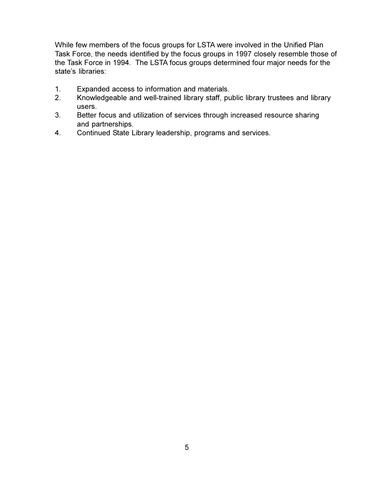While few members of the focus groups for LSTA were involved in the Unified Plan Task Force, the needs identified by the focus groups in 1997 closely resemble those of the Task Force in 1994. The LSTA focus groups determined four major needs for the state's libraries:

- $1<sub>1</sub>$ Expanded access to information and materials.
- $2.$ Knowledgeable and well-trained library staff, public library trustees and library users.
- $3.$ Better focus and utilization of services through increased resource sharing and partnerships.
- Continued State Library leadership, programs and services. 4.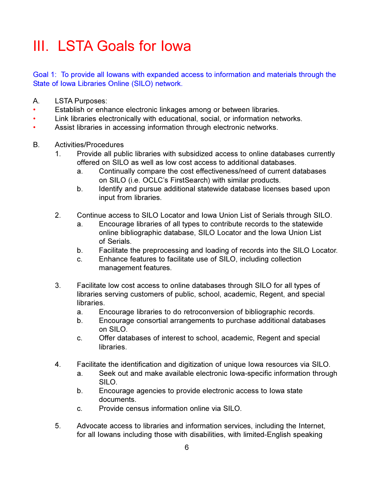### III. LSTA Goals for lowa

Goal 1: To provide all lowans with expanded access to information and materials through the State of Iowa Libraries Online (SILO) network.

- $A_{1}$ **LSTA Purposes:**
- Establish or enhance electronic linkages among or between libraries.
- Link libraries electronically with educational, social, or information networks.
- $\bullet$ Assist libraries in accessing information through electronic networks.
- $B<sub>1</sub>$ Activities/Procedures
	- $1_{-}$ Provide all public libraries with subsidized access to online databases currently offered on SILO as well as low cost access to additional databases.
		- Continually compare the cost effectiveness/need of current databases a. on SILO (i.e. OCLC's FirstSearch) with similar products.
		- Identify and pursue additional statewide database licenses based upon  $b<sub>1</sub>$ input from libraries.
	- $2<sub>1</sub>$ Continue access to SILO Locator and Iowa Union List of Serials through SILO.
		- Encourage libraries of all types to contribute records to the statewide a. online bibliographic database, SILO Locator and the Iowa Union List of Serials.
		- Facilitate the preprocessing and loading of records into the SILO Locator. b.
		- Enhance features to facilitate use of SILO, including collection C. management features.
	- 3. Facilitate low cost access to online databases through SILO for all types of libraries serving customers of public, school, academic, Regent, and special libraries.
		- Encourage libraries to do retroconversion of bibliographic records. a.
		- $b -$ Encourage consortial arrangements to purchase additional databases on SILO.
		- C. Offer databases of interest to school, academic, Regent and special libraries
	- 4. Facilitate the identification and digitization of unique Iowa resources via SILO.
		- Seek out and make available electronic lowa-specific information through a. SILO.
		- Encourage agencies to provide electronic access to lowa state b. documents.
		- Provide census information online via SILO  $C_{1}$
	- 5. Advocate access to libraries and information services, including the Internet, for all lowans including those with disabilities, with limited-English speaking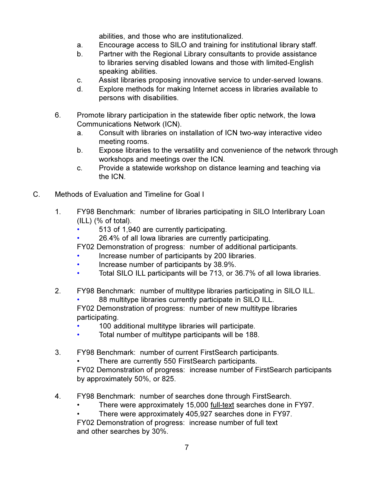abilities, and those who are institutionalized.

- Encourage access to SILO and training for institutional library staff. a.
- Partner with the Regional Library consultants to provide assistance b. to libraries serving disabled lowans and those with limited-English speaking abilities.
- Assist libraries proposing innovative service to under-served lowans. C.
- Explore methods for making Internet access in libraries available to  $d_{-}$ persons with disabilities.
- 6. Promote library participation in the statewide fiber optic network, the lowa **Communications Network (ICN).** 
	- Consult with libraries on installation of ICN two-way interactive video a. meeting rooms.
	- b. Expose libraries to the versatility and convenience of the network through workshops and meetings over the ICN.
	- Provide a statewide workshop on distance learning and teaching via C. the ICN.
- $C_{\cdot}$ Methods of Evaluation and Timeline for Goal I
	- $1<sub>1</sub>$ FY98 Benchmark: number of libraries participating in SILO Interlibrary Loan  $(ILL)$   $%$  of total).
		- 513 of 1,940 are currently participating.  $\bullet$
		- 26.4% of all lowa libraries are currently participating.
		- FY02 Demonstration of progress: number of additional participants.
		- Increase number of participants by 200 libraries.
		- Increase number of participants by 38.9%.
		- Total SILO ILL participants will be 713, or 36.7% of all lowa libraries.  $\bullet$
	- $2.$ FY98 Benchmark: number of multitype libraries participating in SILO ILL. 88 multitype libraries currently participate in SILO ILL.  $\bullet$ FY02 Demonstration of progress: number of new multitype libraries participating.
		- 100 additional multitype libraries will participate.
		- Total number of multitype participants will be 188.  $\bullet$
	- $3<sub>1</sub>$ FY98 Benchmark: number of current FirstSearch participants.
		- There are currently 550 FirstSearch participants.

FY02 Demonstration of progress: increase number of FirstSearch participants by approximately 50%, or 825.

- 4. FY98 Benchmark: number of searches done through FirstSearch.
	- There were approximately 15,000 <u>full-text</u> searches done in FY97.
	- There were approximately 405,927 searches done in FY97.

FY02 Demonstration of progress: increase number of full text and other searches by 30%.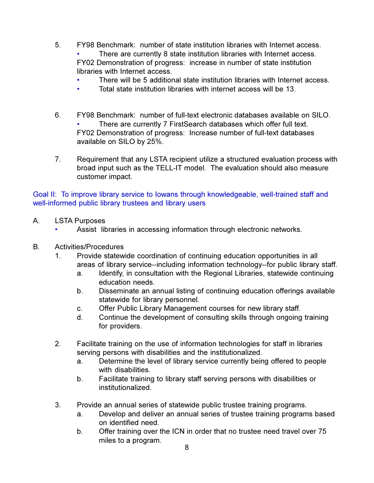- $5<sub>1</sub>$ FY98 Benchmark: number of state institution libraries with Internet access. There are currently 8 state institution libraries with Internet access. FY02 Demonstration of progress: increase in number of state institution libraries with Internet access.
	- There will be 5 additional state institution libraries with Internet access.
		- Total state institution libraries with internet access will be 13.
- $6.$ FY98 Benchmark: number of full-text electronic databases available on SILO. There are currently 7 FirstSearch databases which offer full text. FY02 Demonstration of progress: Increase number of full-text databases available on SILO by 25%.
- $7<sub>1</sub>$ Requirement that any LSTA recipient utilize a structured evaluation process with broad input such as the TELL-IT model. The evaluation should also measure customer impact.

Goal II: To improve library service to lowans through knowledgeable, well-trained staff and well-informed public library trustees and library users

- **LSTA Purposes**  $A_{1}$ 
	- Assist libraries in accessing information through electronic networks.  $\bullet$
- В. Activities/Procedures
	- Provide statewide coordination of continuing education opportunities in all  $1<sup>1</sup>$ areas of library service--including information technology--for public library staff.
		- Identify, in consultation with the Regional Libraries, statewide continuing a. education needs.
		- b. Disseminate an annual listing of continuing education offerings available statewide for library personnel.
		- Offer Public Library Management courses for new library staff. C.
		- Continue the development of consulting skills through ongoing training d. for providers.
	- $2.$ Facilitate training on the use of information technologies for staff in libraries serving persons with disabilities and the institutionalized.
		- Determine the level of library service currently being offered to people a. with disabilities.
		- Facilitate training to library staff serving persons with disabilities or b. institutionalized.
	- 3. Provide an annual series of statewide public trustee training programs.
		- Develop and deliver an annual series of trustee training programs based a. on identified need.
		- Offer training over the ICN in order that no trustee need travel over 75  $b_{\cdot}$ miles to a program.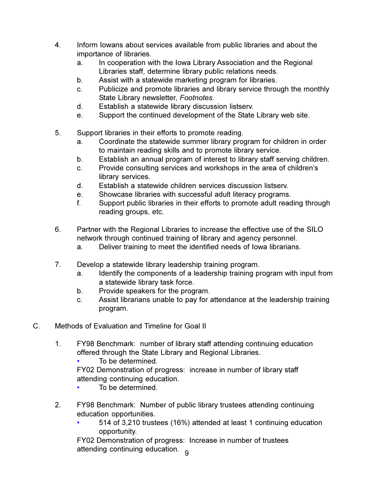- $\overline{4}$ . Inform lowans about services available from public libraries and about the importance of libraries.
	- In cooperation with the Iowa Library Association and the Regional a. Libraries staff, determine library public relations needs.
	- b. Assist with a statewide marketing program for libraries.
	- Publicize and promote libraries and library service through the monthly C. State Library newsletter, Footnotes.
	- Establish a statewide library discussion listsery. d.
	- Support the continued development of the State Library web site. e.
- 5. Support libraries in their efforts to promote reading.
	- Coordinate the statewide summer library program for children in order a. to maintain reading skills and to promote library service.
	- Establish an annual program of interest to library staff serving children.  $b_{-}$
	- Provide consulting services and workshops in the area of children's C. library services.
	- $d_{-}$ Establish a statewide children services discussion listsery.
	- $e<sub>1</sub>$ Showcase libraries with successful adult literacy programs.
	- $f_{\cdot}$ Support public libraries in their efforts to promote adult reading through reading groups, etc.
- 6. Partner with the Regional Libraries to increase the effective use of the SILO network through continued training of library and agency personnel.
	- Deliver training to meet the identified needs of lowa librarians. a.
- $7<sub>1</sub>$ Develop a statewide library leadership training program.
	- Identify the components of a leadership training program with input from a. a statewide library task force.
	- Provide speakers for the program. b.
	- Assist librarians unable to pay for attendance at the leadership training  $\mathbf{C}$ . program.
- $C_{\cdot}$ Methods of Evaluation and Timeline for Goal II
	- $1<sup>1</sup>$ FY98 Benchmark: number of library staff attending continuing education offered through the State Library and Regional Libraries.
		- To be determined.
		- FY02 Demonstration of progress: increase in number of library staff attending continuing education.
		- To be determined.  $\bullet$
	- $2.$ FY98 Benchmark: Number of public library trustees attending continuing education opportunities.
		- 514 of 3,210 trustees (16%) attended at least 1 continuing education  $\bullet$ opportunity.

FY02 Demonstration of progress: Increase in number of trustees attending continuing education. a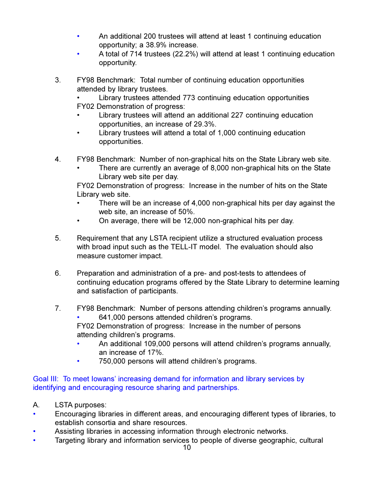- An additional 200 trustees will attend at least 1 continuing education opportunity: a 38.9% increase.
- A total of 714 trustees (22.2%) will attend at least 1 continuing education  $\bullet$ opportunity.
- 3. FY98 Benchmark: Total number of continuing education opportunities attended by library trustees.

Library trustees attended 773 continuing education opportunities FY02 Demonstration of progress:

- Library trustees will attend an additional 227 continuing education opportunities, an increase of 29.3%.
- Library trustees will attend a total of 1,000 continuing education opportunities.
- 4. FY98 Benchmark: Number of non-graphical hits on the State Library web site.
	- There are currently an average of 8,000 non-graphical hits on the State Library web site per day.

FY02 Demonstration of progress: Increase in the number of hits on the State Library web site.

- There will be an increase of 4,000 non-graphical hits per day against the web site, an increase of 50%.
- $\bullet$ On average, there will be 12,000 non-graphical hits per day.
- 5. Requirement that any LSTA recipient utilize a structured evaluation process with broad input such as the TELL-IT model. The evaluation should also measure customer impact.
- 6. Preparation and administration of a pre- and post-tests to attendees of continuing education programs offered by the State Library to determine learning and satisfaction of participants.
- $7.$ FY98 Benchmark: Number of persons attending children's programs annually.
	- 641,000 persons attended children's programs.

FY02 Demonstration of progress: Increase in the number of persons attending children's programs.

- An additional 109,000 persons will attend children's programs annually, an increase of 17%.
- $\bullet$ 750,000 persons will attend children's programs.

#### Goal III: To meet lowans' increasing demand for information and library services by identifying and encouraging resource sharing and partnerships.

- A. LSTA purposes:
- Encouraging libraries in different areas, and encouraging different types of libraries, to establish consortia and share resources.
- Assisting libraries in accessing information through electronic networks.
- Targeting library and information services to people of diverse geographic, cultural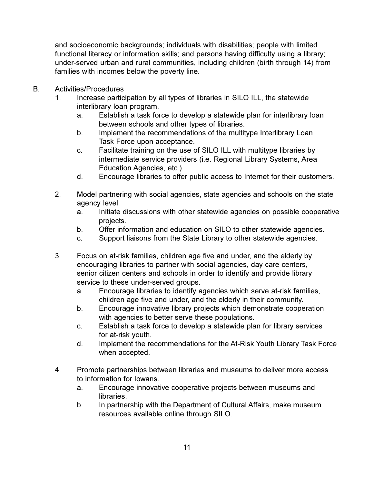and socioeconomic backgrounds; individuals with disabilities; people with limited functional literacy or information skills; and persons having difficulty using a library; under-served urban and rural communities, including children (birth through 14) from families with incomes below the poverty line.

- $B_{\cdot}$ Activities/Procedures
	- Increase participation by all types of libraries in SILO ILL, the statewide  $1<sub>1</sub>$ interlibrary loan program.
		- Establish a task force to develop a statewide plan for interlibrary loan a. between schools and other types of libraries.
		- b. Implement the recommendations of the multitype Interlibrary Loan Task Force upon acceptance.
		- C. Facilitate training on the use of SILO ILL with multitype libraries by intermediate service providers (i.e. Regional Library Systems, Area Education Agencies, etc.).
		- Encourage libraries to offer public access to Internet for their customers.  $\mathsf{d}$ .
	- $2<sub>1</sub>$ Model partnering with social agencies, state agencies and schools on the state agency level.
		- Initiate discussions with other statewide agencies on possible cooperative a. projects.
		- Offer information and education on SILO to other statewide agencies. b.
		- C. Support liaisons from the State Library to other statewide agencies.
	- $3_{-}$ Focus on at-risk families, children age five and under, and the elderly by encouraging libraries to partner with social agencies, day care centers, senior citizen centers and schools in order to identify and provide library service to these under-served groups.
		- Encourage libraries to identify agencies which serve at-risk families, a. children age five and under, and the elderly in their community.
		- $b<sub>1</sub>$ Encourage innovative library projects which demonstrate cooperation with agencies to better serve these populations.
		- Establish a task force to develop a statewide plan for library services  $C_{1}$ for at-risk youth.
		- d. Implement the recommendations for the At-Risk Youth Library Task Force when accepted.
	- 4. Promote partnerships between libraries and museums to deliver more access to information for lowans.
		- Encourage innovative cooperative projects between museums and a. libraries.
		- b. In partnership with the Department of Cultural Affairs, make museum resources available online through SILO.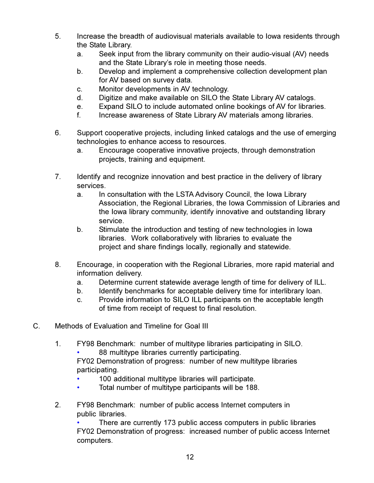- 5. Increase the breadth of audiovisual materials available to lowa residents through the State Library.
	- Seek input from the library community on their audio-visual (AV) needs a. and the State Library's role in meeting those needs.
	- Develop and implement a comprehensive collection development plan  $b_{-}$ for AV based on survey data.
	- Monitor developments in AV technology. C.
	- Digitize and make available on SILO the State Library AV catalogs. d.
	- Expand SILO to include automated online bookings of AV for libraries.  $e<sub>1</sub>$
	- $f_{\cdot}$ Increase awareness of State Library AV materials among libraries.
- 6. Support cooperative projects, including linked catalogs and the use of emerging technologies to enhance access to resources.
	- a. Encourage cooperative innovative projects, through demonstration projects, training and equipment.
- $7.$ Identify and recognize innovation and best practice in the delivery of library services.
	- a. In consultation with the LSTA Advisory Council, the Iowa Library Association, the Regional Libraries, the Iowa Commission of Libraries and the lowa library community, identify innovative and outstanding library service
	- Stimulate the introduction and testing of new technologies in lowa b. libraries. Work collaboratively with libraries to evaluate the project and share findings locally, regionally and statewide.
- 8. Encourage, in cooperation with the Regional Libraries, more rapid material and information delivery.
	- Determine current statewide average length of time for delivery of ILL. a.
	- Identify benchmarks for acceptable delivery time for interlibrary loan. b.
	- Provide information to SILO ILL participants on the acceptable length  $\mathbf{C}$ . of time from receipt of request to final resolution.
- $C_{\cdot}$ Methods of Evaluation and Timeline for Goal III
	- $1<sub>1</sub>$ FY98 Benchmark: number of multitype libraries participating in SILO. 88 multitype libraries currently participating.
		- FY02 Demonstration of progress: number of new multitype libraries participating.
			- 100 additional multitype libraries will participate.
		- Total number of multitype participants will be 188.  $\bullet$
	- $2.$ FY98 Benchmark: number of public access Internet computers in public libraries.

There are currently 173 public access computers in public libraries FY02 Demonstration of progress: increased number of public access Internet computers.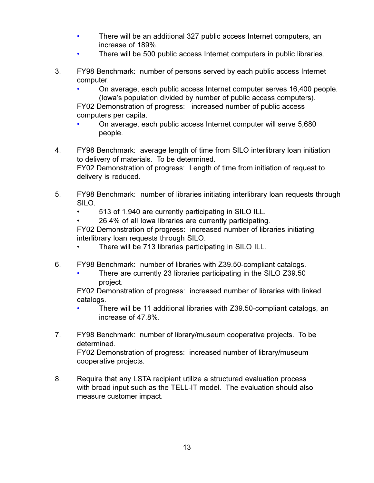- $\bullet$ There will be an additional 327 public access Internet computers, an increase of 189%.
- There will be 500 public access Internet computers in public libraries.  $\bullet$
- $3<sub>1</sub>$ FY98 Benchmark: number of persons served by each public access Internet computer.
	- On average, each public access Internet computer serves 16,400 people. (lowa's population divided by number of public access computers).

FY02 Demonstration of progress: increased number of public access computers per capita.

- On average, each public access Internet computer will serve 5,680 people.
- 4. FY98 Benchmark: average length of time from SILO interlibrary loan initiation to delivery of materials. To be determined. FY02 Demonstration of progress: Length of time from initiation of request to delivery is reduced.
- 5. FY98 Benchmark: number of libraries initiating interlibrary loan requests through SILO.
	- 513 of 1,940 are currently participating in SILO ILL.
	- 26.4% of all lowa libraries are currently participating.

FY02 Demonstration of progress: increased number of libraries initiating interlibrary loan requests through SILO.

- There will be 713 libraries participating in SILO ILL.
- 6. FY98 Benchmark: number of libraries with Z39.50-compliant catalogs.
	- There are currently 23 libraries participating in the SILO Z39.50 project.

FY02 Demonstration of progress: increased number of libraries with linked catalogs.

- There will be 11 additional libraries with Z39.50-compliant catalogs, an increase of 47.8%.
- $7<sub>1</sub>$ FY98 Benchmark: number of library/museum cooperative projects. To be determined.

FY02 Demonstration of progress: increased number of library/museum cooperative projects.

8. Require that any LSTA recipient utilize a structured evaluation process with broad input such as the TELL-IT model. The evaluation should also measure customer impact.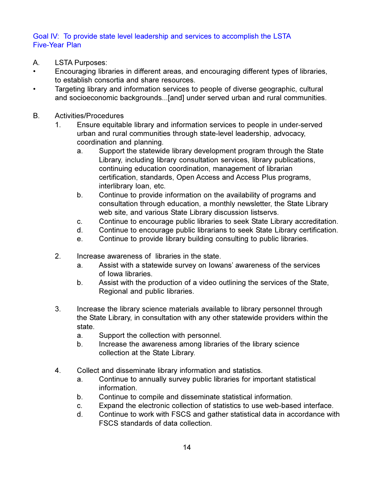#### Goal IV: To provide state level leadership and services to accomplish the LSTA **Five-Year Plan**

- $\overline{A}$ **LSTA Purposes:**
- Encouraging libraries in different areas, and encouraging different types of libraries,  $\bullet$ to establish consortia and share resources.
- Targeting library and information services to people of diverse geographic, cultural  $\bullet$ and socioeconomic backgrounds...[and] under served urban and rural communities.
- **B.** Activities/Procedures
	- Ensure equitable library and information services to people in under-served  $1<sup>1</sup>$ urban and rural communities through state-level leadership, advocacy, coordination and planning.
		- a. Support the statewide library development program through the State Library, including library consultation services, library publications, continuing education coordination, management of librarian certification, standards, Open Access and Access Plus programs, interlibrary loan, etc.
		- b. Continue to provide information on the availability of programs and consultation through education, a monthly newsletter, the State Library web site, and various State Library discussion listservs.
		- Continue to encourage public libraries to seek State Library accreditation. C.
		- Continue to encourage public librarians to seek State Library certification.  $\mathsf{d}$ .
		- Continue to provide library building consulting to public libraries. e.
	- $2<sup>1</sup>$ Increase awareness of libraries in the state.
		- Assist with a statewide survey on lowans' awareness of the services a. of Iowa libraries.
		- Assist with the production of a video outlining the services of the State, b. Regional and public libraries.
	- $3<sub>1</sub>$ Increase the library science materials available to library personnel through the State Library, in consultation with any other statewide providers within the state.
		- Support the collection with personnel. a.
		- Increase the awareness among libraries of the library science  $b_{-}$ collection at the State Library.
	- 4. Collect and disseminate library information and statistics.
		- Continue to annually survey public libraries for important statistical a. information.
		- Continue to compile and disseminate statistical information. b.
		- Expand the electronic collection of statistics to use web-based interface. C.
		- Continue to work with FSCS and gather statistical data in accordance with d. FSCS standards of data collection.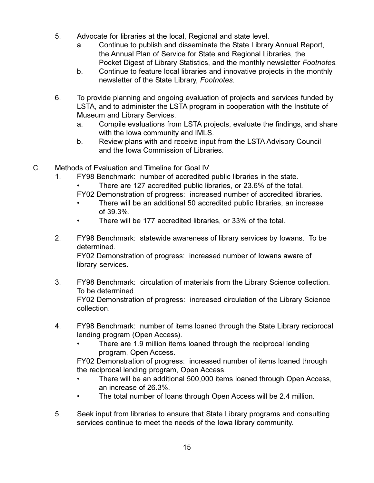- 5. Advocate for libraries at the local, Regional and state level.
	- Continue to publish and disseminate the State Library Annual Report, a. the Annual Plan of Service for State and Regional Libraries, the Pocket Digest of Library Statistics, and the monthly newsletter Footnotes.
	- b. Continue to feature local libraries and innovative projects in the monthly newsletter of the State Library, Footnotes.
- 6. To provide planning and ongoing evaluation of projects and services funded by LSTA, and to administer the LSTA program in cooperation with the Institute of **Museum and Library Services.** 
	- Compile evaluations from LSTA projects, evaluate the findings, and share a. with the lowa community and IMLS.
	- Review plans with and receive input from the LSTA Advisory Council  $b_{1}$ and the Iowa Commission of Libraries.
- $C_{-}$ Methods of Evaluation and Timeline for Goal IV
	- FY98 Benchmark: number of accredited public libraries in the state.  $1<sup>1</sup>$ 
		- There are 127 accredited public libraries, or 23.6% of the total.
		- FY02 Demonstration of progress: increased number of accredited libraries.
		- There will be an additional 50 accredited public libraries, an increase of 39.3%.
		- There will be 177 accredited libraries, or 33% of the total.
	- $2<sup>1</sup>$ FY98 Benchmark: statewide awareness of library services by lowans. To be determined.

FY02 Demonstration of progress: increased number of lowans aware of library services.

- $3<sub>1</sub>$ FY98 Benchmark: circulation of materials from the Library Science collection. To be determined. FY02 Demonstration of progress: increased circulation of the Library Science collection.
- 4. FY98 Benchmark: number of items loaned through the State Library reciprocal lending program (Open Access).
	- There are 1.9 million items loaned through the reciprocal lending program, Open Access.

FY02 Demonstration of progress: increased number of items loaned through the reciprocal lending program, Open Access.

- There will be an additional 500,000 items loaned through Open Access, an increase of 26.3%.
- The total number of loans through Open Access will be 2.4 million.
- 5. Seek input from libraries to ensure that State Library programs and consulting services continue to meet the needs of the lowa library community.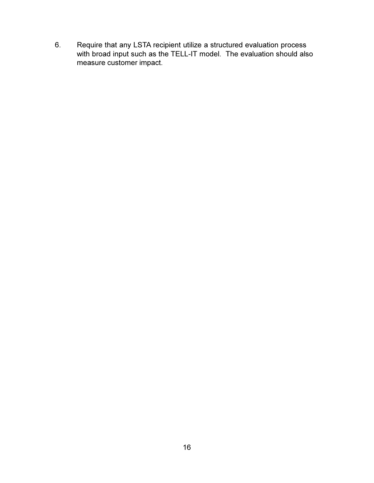Require that any LSTA recipient utilize a structured evaluation process with broad input such as the TELL-IT model. The evaluation should also measure customer impact. 6.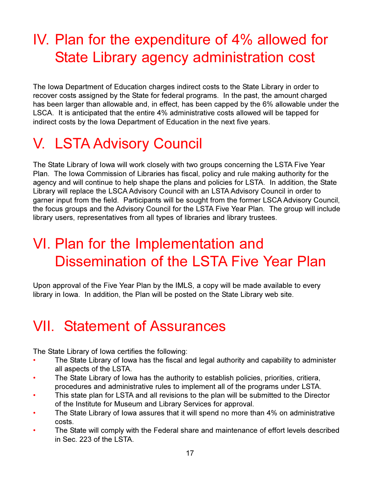### IV. Plan for the expenditure of 4% allowed for **State Library agency administration cost**

The Iowa Department of Education charges indirect costs to the State Library in order to recover costs assigned by the State for federal programs. In the past, the amount charged has been larger than allowable and, in effect, has been capped by the 6% allowable under the LSCA. It is anticipated that the entire 4% administrative costs allowed will be tapped for indirect costs by the Iowa Department of Education in the next five years.

## **V. LSTA Advisory Council**

The State Library of Iowa will work closely with two groups concerning the LSTA Five Year Plan. The lowa Commission of Libraries has fiscal, policy and rule making authority for the agency and will continue to help shape the plans and policies for LSTA. In addition, the State Library will replace the LSCA Advisory Council with an LSTA Advisory Council in order to garner input from the field. Participants will be sought from the former LSCA Advisory Council, the focus groups and the Advisory Council for the LSTA Five Year Plan. The group will include library users, representatives from all types of libraries and library trustees.

### VI. Plan for the Implementation and Dissemination of the LSTA Five Year Plan

Upon approval of the Five Year Plan by the IMLS, a copy will be made available to every library in Iowa. In addition, the Plan will be posted on the State Library web site.

### **VII. Statement of Assurances**

The State Library of Iowa certifies the following:

- The State Library of lowa has the fiscal and legal authority and capability to administer all aspects of the LSTA.
- The State Library of lowa has the authority to establish policies, priorities, critiera,  $\bullet$ procedures and administrative rules to implement all of the programs under LSTA.
- $\ddot{\phantom{a}}$ This state plan for LSTA and all revisions to the plan will be submitted to the Director of the Institute for Museum and Library Services for approval.
- The State Library of Iowa assures that it will spend no more than 4% on administrative costs.
- The State will comply with the Federal share and maintenance of effort levels described in Sec. 223 of the LSTA.